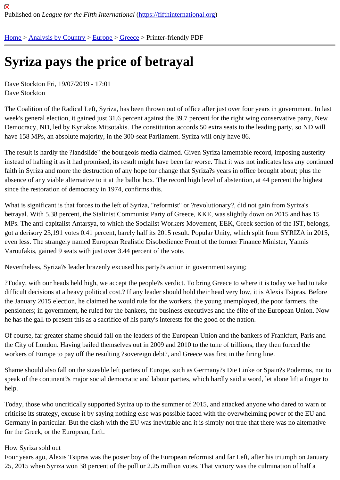## [Syr](https://fifthinternational.org/)i[za pays th](https://fifthinternational.org/category/1)[e pr](https://fifthinternational.org/category/1/128)i[ce o](https://fifthinternational.org/category/1/128/147)f betrayal

Dave Stockton Fri, 19/07/2019 - 17:01 Dave Stockton

The Coalition of the Radical Left, Syriza, has been thrown out of office after just over four years in government. In week's general election, it gained just 31.6 percent against the 39.7 percent for the right wing conservative party, N Democracy, ND, led by Kyriakos Mitsotakis. The constitution accords 50 extra seats to the leading party, so ND wi have 158 MPs, an absolute majority, in the 300-seat Parliament. Syriza will only have 86.

The result is hardly the ?landslide" the bourgeois media claimed. Given Syriza lamentable record, imposing auster instead of halting it as it had promised, its result might have been far worse. That it was not indicates less any con faith in Syriza and more the destruction of any hope for change that Syriza?s years in office brought about; plus th absence of any viable alternative to it at the ballot box. The record high level of abstention, at 44 percent the highe since the restoration of democracy in 1974, confirms this.

What is significant is that forces to the left of Syriza, "reformist" or ?revolutionary?, did not gain from Syriza's betrayal. With 5.38 percent, the Stalinist Communist Party of Greece, KKE, was slightly down on 2015 and has 15 MPs. The anti-capitalist Antarsya, to which the Socialist Workers Movement, EEK, Greek section of the IST, belongs, got a derisory 23,191 votes 0.41 percent, barely half its 2015 result. Popular Unity, which split from SYRIZA in 2015, even less. The strangely named European Realistic Disobedience Front of the former Finance Minister, Yannis Varoufakis, gained 9 seats with just over 3.44 percent of the vote.

Nevertheless, Syriza?s leader brazenly excused his party?s action in government saying;

?Today, with our heads held high, we accept the people?s verdict. To bring Greece to where it is today we had to difficult decisions at a heavy political cost.? If any leader should hold their head very low, it is Alexis Tsipras. Before the January 2015 election, he claimed he would rule for the workers, the young unemployed, the poor farmers, the pensioners; in government, he ruled for the bankers, the business executives and the élite of the European Union. he has the gall to present this as a sacrifice of his party's interests for the good of the nation.

Of course, far greater shame should fall on the leaders of the European Union and the bankers of Frankfurt, Paris and the City of London. Having bailed themselves out in 2009 and 2010 to the tune of trillions, they then forced the workers of Europe to pay off the resulting ?sovereign debt?, and Greece was first in the firing line.

Shame should also fall on the sizeable left parties of Europe, such as Germany?s Die Linke or Spain?s Podemos, speak of the continent?s major social democratic and labour parties, which hardly said a word, let alone lift a finge help.

Today, those who uncritically supported Syriza up to the summer of 2015, and attacked anyone who dared to warr criticise its strategy, excuse it by saying nothing else was possible faced with the overwhelming power of the EU a Germany in particular. But the clash with the EU was inevitable and it is simply not true that there was no alternativ for the Greek, or the European, Left.

## How Syriza sold out

Four years ago, Alexis Tsipras was the poster boy of the European reformist and far Left, after his triumph on Janu 25, 2015 when Syriza won 38 percent of the poll or 2.25 million votes. That victory was the culmination of half a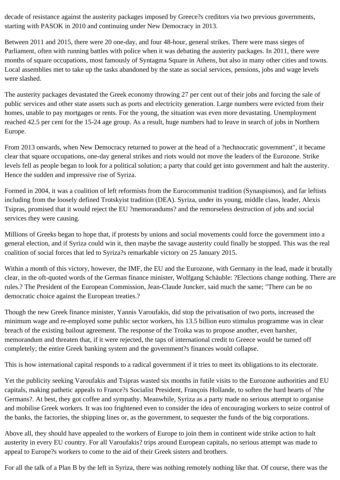decade of resistance against the austerity packages imposed by Greece?s creditors via two previous governments, starting with PASOK in 2010 and continuing under New Democracy in 2013.

Between 2011 and 2015, there were 20 one-day, and four 48-hour, general strikes. There were mass sieges of Parliament, often with running battles with police when it was debating the austerity packages. In 2011, there were months of square occupations, most famously of Syntagma Square in Athens, but also in many other cities and towns. Local assemblies met to take up the tasks abandoned by the state as social services, pensions, jobs and wage levels were slashed.

The austerity packages devastated the Greek economy throwing 27 per cent out of their jobs and forcing the sale of public services and other state assets such as ports and electricity generation. Large numbers were evicted from their homes, unable to pay mortgages or rents. For the young, the situation was even more devastating. Unemployment reached 42.5 per cent for the 15-24 age group. As a result, huge numbers had to leave in search of jobs in Northern Europe.

From 2013 onwards, when New Democracy returned to power at the head of a ?technocratic government", it became clear that square occupations, one-day general strikes and riots would not move the leaders of the Eurozone. Strike levels fell as people began to look for a political solution; a party that could get into government and halt the austerity. Hence the sudden and impressive rise of Syriza.

Formed in 2004, it was a coalition of left reformists from the Eurocommunist tradition (Synaspismos), and far leftists including from the loosely defined Trotskyist tradition (DEA). Syriza, under its young, middle class, leader, Alexis Tsipras, promised that it would reject the EU ?memorandums? and the remorseless destruction of jobs and social services they were causing.

Millions of Greeks began to hope that, if protests by unions and social movements could force the government into a general election, and if Syriza could win it, then maybe the savage austerity could finally be stopped. This was the real coalition of social forces that led to Syriza?s remarkable victory on 25 January 2015.

Within a month of this victory, however, the IMF, the EU and the Eurozone, with Germany in the lead, made it brutally clear, in the oft-quoted words of the German finance minister, Wolfgang Schäuble: ?Elections change nothing. There are rules.? The President of the European Commission, Jean-Claude Juncker, said much the same; "There can be no democratic choice against the European treaties.?

Though the new Greek finance minister, Yannis Varoufakis, did stop the privatisation of two ports, increased the minimum wage and re-employed some public sector workers, his 13.5 billion euro stimulus programme was in clear breach of the existing bailout agreement. The response of the Troika was to propose another, even harsher, memorandum and threaten that, if it were rejected, the taps of international credit to Greece would be turned off completely; the entire Greek banking system and the government?s finances would collapse.

This is how international capital responds to a radical government if it tries to meet its obligations to its electorate.

Yet the publicity seeking Varoufakis and Tsipras wasted six months in futile visits to the Eurozone authorities and EU capitals, making pathetic appeals to France?s Socialist President, François Hollande, to soften the hard hearts of ?the Germans?. At best, they got coffee and sympathy. Meanwhile, Syriza as a party made no serious attempt to organise and mobilise Greek workers. It was too frightened even to consider the idea of encouraging workers to seize control of the banks, the factories, the shipping lines or, as the government, to sequester the funds of the big corporations.

Above all, they should have appealed to the workers of Europe to join them in continent wide strike action to halt austerity in every EU country. For all Varoufakis? trips around European capitals, no serious attempt was made to appeal to Europe?s workers to come to the aid of their Greek sisters and brothers.

For all the talk of a Plan B by the left in Syriza, there was nothing remotely nothing like that. Of course, there was the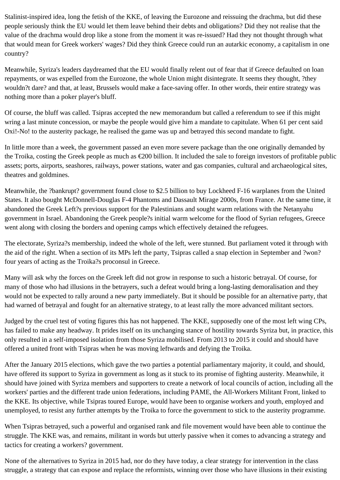Stalinist-inspired idea, long the fetish of the KKE, of leaving the Eurozone and reissuing the drachma, but did these people seriously think the EU would let them leave behind their debts and obligations? Did they not realise that the value of the drachma would drop like a stone from the moment it was re-issued? Had they not thought through what that would mean for Greek workers' wages? Did they think Greece could run an autarkic economy, a capitalism in one country?

Meanwhile, Syriza's leaders daydreamed that the EU would finally relent out of fear that if Greece defaulted on loan repayments, or was expelled from the Eurozone, the whole Union might disintegrate. It seems they thought, ?they wouldn?t dare? and that, at least, Brussels would make a face-saving offer. In other words, their entire strategy was nothing more than a poker player's bluff.

Of course, the bluff was called. Tsipras accepted the new memorandum but called a referendum to see if this might wring a last minute concession, or maybe the people would give him a mandate to capitulate. When 61 per cent said Oxi!-No! to the austerity package, he realised the game was up and betrayed this second mandate to fight.

In little more than a week, the government passed an even more severe package than the one originally demanded by the Troika, costing the Greek people as much as €200 billion. It included the sale to foreign investors of profitable public assets; ports, airports, seashores, railways, power stations, water and gas companies, cultural and archaeological sites, theatres and goldmines.

Meanwhile, the ?bankrupt? government found close to \$2.5 billion to buy Lockheed F-16 warplanes from the United States. It also bought McDonnell-Douglas F-4 Phantoms and Dassault Mirage 2000s, from France. At the same time, it abandoned the Greek Left?s previous support for the Palestinians and sought warm relations with the Netanyahu government in Israel. Abandoning the Greek people?s initial warm welcome for the flood of Syrian refugees, Greece went along with closing the borders and opening camps which effectively detained the refugees.

The electorate, Syriza?s membership, indeed the whole of the left, were stunned. But parliament voted it through with the aid of the right. When a section of its MPs left the party, Tsipras called a snap election in September and ?won? four years of acting as the Troika?s proconsul in Greece.

Many will ask why the forces on the Greek left did not grow in response to such a historic betrayal. Of course, for many of those who had illusions in the betrayers, such a defeat would bring a long-lasting demoralisation and they would not be expected to rally around a new party immediately. But it should be possible for an alternative party, that had warned of betrayal and fought for an alternative strategy, to at least rally the more advanced militant sectors.

Judged by the cruel test of voting figures this has not happened. The KKE, supposedly one of the most left wing CPs, has failed to make any headway. It prides itself on its unchanging stance of hostility towards Syriza but, in practice, this only resulted in a self-imposed isolation from those Syriza mobilised. From 2013 to 2015 it could and should have offered a united front with Tsipras when he was moving leftwards and defying the Troika.

After the January 2015 elections, which gave the two parties a potential parliamentary majority, it could, and should, have offered its support to Syriza in government as long as it stuck to its promise of fighting austerity. Meanwhile, it should have joined with Syriza members and supporters to create a network of local councils of action, including all the workers' parties and the different trade union federations, including PAME, the All-Workers Militant Front, linked to the KKE. Its objective, while Tsipras toured Europe, would have been to organise workers and youth, employed and unemployed, to resist any further attempts by the Troika to force the government to stick to the austerity programme.

When Tsipras betrayed, such a powerful and organised rank and file movement would have been able to continue the struggle. The KKE was, and remains, militant in words but utterly passive when it comes to advancing a strategy and tactics for creating a workers? government.

None of the alternatives to Syriza in 2015 had, nor do they have today, a clear strategy for intervention in the class struggle, a strategy that can expose and replace the reformists, winning over those who have illusions in their existing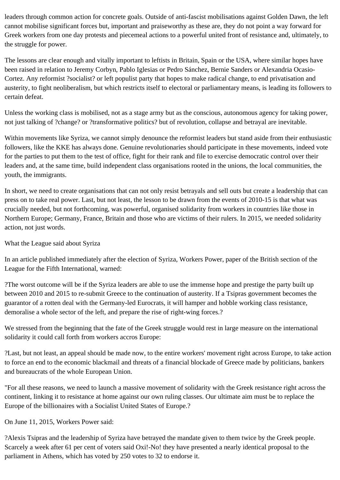leaders through common action for concrete goals. Outside of anti-fascist mobilisations against Golden Dawn, the left cannot mobilise significant forces but, important and praiseworthy as these are, they do not point a way forward for Greek workers from one day protests and piecemeal actions to a powerful united front of resistance and, ultimately, to the struggle for power.

The lessons are clear enough and vitally important to leftists in Britain, Spain or the USA, where similar hopes have been raised in relation to Jeremy Corbyn, Pablo Iglesias or Pedro Sánchez, Bernie Sanders or Alexandria Ocasio-Cortez. Any reformist ?socialist? or left populist party that hopes to make radical change, to end privatisation and austerity, to fight neoliberalism, but which restricts itself to electoral or parliamentary means, is leading its followers to certain defeat.

Unless the working class is mobilised, not as a stage army but as the conscious, autonomous agency for taking power, not just talking of ?change? or ?transformative politics? but of revolution, collapse and betrayal are inevitable.

Within movements like Syriza, we cannot simply denounce the reformist leaders but stand aside from their enthusiastic followers, like the KKE has always done. Genuine revolutionaries should participate in these movements, indeed vote for the parties to put them to the test of office, fight for their rank and file to exercise democratic control over their leaders and, at the same time, build independent class organisations rooted in the unions, the local communities, the youth, the immigrants.

In short, we need to create organisations that can not only resist betrayals and sell outs but create a leadership that can press on to take real power. Last, but not least, the lesson to be drawn from the events of 2010-15 is that what was crucially needed, but not forthcoming, was powerful, organised solidarity from workers in countries like those in Northern Europe; Germany, France, Britain and those who are victims of their rulers. In 2015, we needed solidarity action, not just words.

## What the League said about Syriza

In an article published immediately after the election of Syriza, Workers Power, paper of the British section of the League for the Fifth International, warned:

?The worst outcome will be if the Syriza leaders are able to use the immense hope and prestige the party built up between 2010 and 2015 to re-submit Greece to the continuation of austerity. If a Tsipras government becomes the guarantor of a rotten deal with the Germany-led Eurocrats, it will hamper and hobble working class resistance, demoralise a whole sector of the left, and prepare the rise of right-wing forces.?

We stressed from the beginning that the fate of the Greek struggle would rest in large measure on the international solidarity it could call forth from workers accros Europe:

?Last, but not least, an appeal should be made now, to the entire workers' movement right across Europe, to take action to force an end to the economic blackmail and threats of a financial blockade of Greece made by politicians, bankers and bureaucrats of the whole European Union.

"For all these reasons, we need to launch a massive movement of solidarity with the Greek resistance right across the continent, linking it to resistance at home against our own ruling classes. Our ultimate aim must be to replace the Europe of the billionaires with a Socialist United States of Europe.?

On June 11, 2015, Workers Power said:

?Alexis Tsipras and the leadership of Syriza have betrayed the mandate given to them twice by the Greek people. Scarcely a week after 61 per cent of voters said Oxi!-No! they have presented a nearly identical proposal to the parliament in Athens, which has voted by 250 votes to 32 to endorse it.